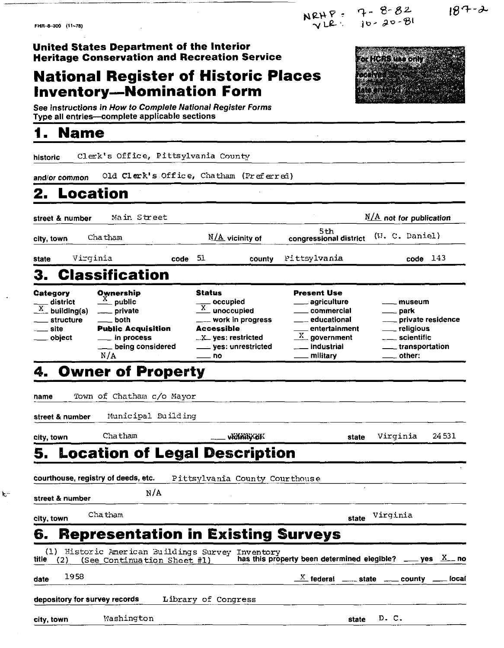NRHP =  $7 - 8 - 82$ <br>  $VLP = 10 - 20 - 81$ 

FHR-8-300 (11-78)

 $187 - 2$ 

**United States Department of the Interior Heritage Conservation and Recreation Service National Register of Historic Places Inventory-Nomination Form** 



See instructions in How to Complete National Register Forms Type all entries--complete applicable sections

# **1 Name**

historic Clerk's Office, Pittsylvania County and/or common Old Clerk's Office, Chatham (Preferred) **2. Location ---------------------**street & number *a* Main Street *a* Main Street *a* Milk **not for publication 5th**<br>**congressional district** atreet & number Main Street Main Street Main Street Main Street Main Street Sthew Sthew Sthew Sthew Sthew Sthew Sthew Chatham Main Main Street Sthew Sthew Sthew Sthew Sthew Sthew Sthew Sthew Sthew Sthew Sthew Sthew Sthew S state Virginia **code 51** county Pittsylvania code 143 **3. Classification**<br>
Category Ownership Status<br>
alistrict Apublic Status<br>
X building(s) private X unot<br>
structure both work Category Ownership Status Present Use 3. Classification<br>
Category Ownership Status Present Use<br>  $\frac{1}{X}$  district  $\frac{X}{X}$  public  $\frac{1}{X}$  occupied  $\frac{1}{X}$  agriculture  $\frac{1}{X}$  muse **X**<br> **X**unoccupied -commercial -commercial -commercial -commercial -commercial -commercial -commercial -commercial -commercial -commercial -commercial -commercial -commercial -commercial -commercial -commercial -commercial Category Ownership Status Present Use<br>  $\frac{X}{X}$  building(s) private  $\frac{X}{X}$  building(s) private  $\frac{X}{X}$  building(s) private  $\frac{X}{X}$  work in progress commercial  $\frac{X}{X}$  educational  $\frac{X}{X}$  private residence<br>
site Category Ownership Status Present Use<br>  $\frac{X}{X}$  building(s) minimize private  $\frac{X}{X}$  building(s) minimize private  $\frac{X}{X}$  unoccupied accessible commercial muse<br>
accessible educational minimizes educational minimizes district  $\frac{X}{X}$  public<br>  $\frac{X}{X}$  building(s) mate<br>
structure both work in progress educational structure both work in progress educational private restricted biject in process  $\frac{X}{X}$  yes: restricted  $\frac{X}{X}$  gover  $\begin{array}{cccc}\n & \text{private} & \frac{X}{\text{unoccupied}} & \text{momental} & \text{other.} \ \text{both} & \text{non-} & \text{work in progress} & \text{electrical} & \text{other.} \ \text{Public Acquisition} & \text{Accessible} & \text{interd} & \text{interfivative res} \\
\hline\n \text{while Acquisition} & \text{Accessible} & \frac{X}{\text{user.} & \text{entertailment}} & \text{other.} \ \text{being considered} & \text{user.} & \text{insertified} & \text{interfative} \\
\hline\n \text{N/A} & \text{other.} & \text{non-} & \text{other.} \end{array}$ N/A - no -military -other: **4. Owner of Property**  name Town of Chatham c/o Mayor street & number Municipal **Eu** ild ing Extreet & number Municipal Building<br>city, town Cha tham **- Workhity.com** State Virginia 24 531 **5. Location of Legal Description**  courthouse, registry of deeds, etc. Pittsylvania County Courthons **e k**street & number **N** /A city, town Cha **tham** state Virqinia **6. Representation in Existing Surveys**  (1) Historic American Buildings Survey Inventory<br>title (2) (See Continuation Sheet #1) has this property been determined elegible? \_\_ yes *X* no date <sup>1958</sup><sup>2</sup>federal state - countv - local depository for survey records Library of Congress city, town **Mashington** state **D**. C.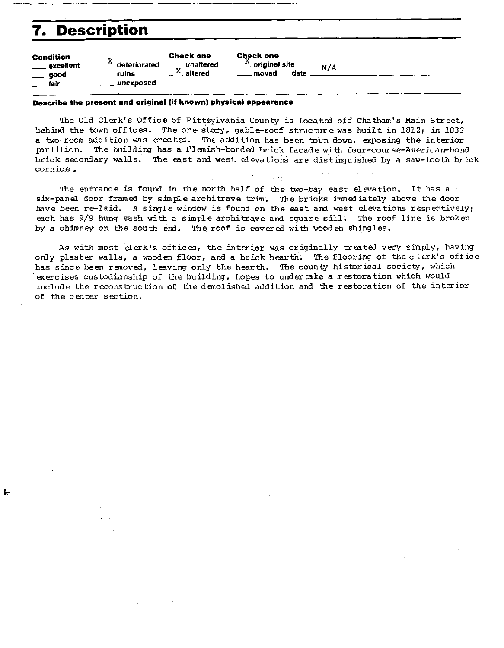# **7. Description**

Ť.

|                                                                           | 7. Description                                   |                                                                       |                                                                      |     |
|---------------------------------------------------------------------------|--------------------------------------------------|-----------------------------------------------------------------------|----------------------------------------------------------------------|-----|
| <b>Condition</b><br>____ excellent<br>$\equiv$ good<br>$\frac{1}{2}$ tair | x<br>deteriorated<br>$\equiv$ ruins<br>unexposed | <b>Check one</b><br>__ unaltered<br>$-\frac{\overline{X}}{2}$ altered | <b>Check one</b><br>$\frac{X}{x}$ original site<br>date<br>___ moved | N/A |
|                                                                           |                                                  |                                                                       |                                                                      |     |

### **Describe the present and original (if known) physical appearance**

The Old Clerk's Office of Pittsylvania County is located off Chatham's Main Street, behind the town offices. The one-story, gable-roof structure was built in 1812; in 1833 a two-room addition was erect&. The addition has been **torn** down, exposing the interior partition. The building has a Flemish-bonded brick facade with four-course-American-bond brick secondary walls. The east and west elevations are distinguished by a saw-tooth brick cornice. c0rnic.e. , ..,

The entrance is found in the north half of the two-bay east elevation. It has a six-panel door framed by simple architrave trim. The bricks immediately above the door have been re-laid. A single window is found on the east and west elevations respectively; each has 9/9 hung sash with a simple architrave and square sill. The roof line is broken

by a chimney on the south erd. The roof is covered with wooden shingles.

As with most .clerk's offices, the interior was originally treated very simply, having only plaster walls, a wooden floor, and a brick hearth. The flooring of the clerk's office has since been renoved, leaving only the hearth. The county historical society, which exercises custodianship of the building, hopes to undertake a restoration which would include the reconstruction of the demolished addition and the restoration of the interior of the center section.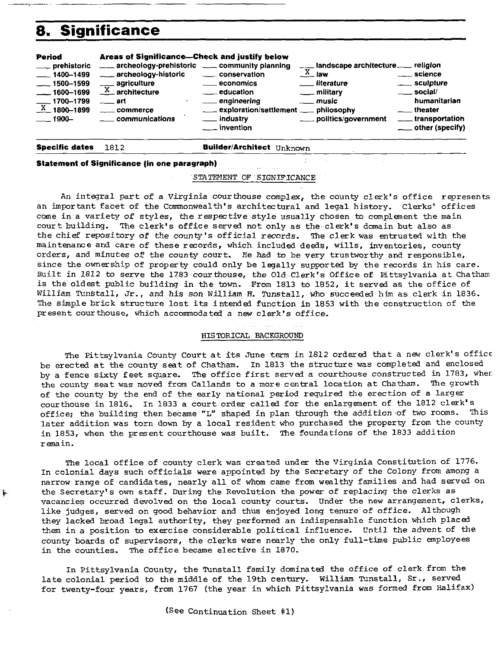

**Statement of Significance (in one paragraph)** 

### STATFMENT OF SIGNIFICANCE

An integral part of a Virginia courthouse complex, the county clerk's office represents an important facet of the Commonwealth's architectural and legal history. Clerks' offices come in a variety of styles, the respective style usually chosen to complement the main court building. The clerk's office served not only as the clerk's domain but also as the chief repository of the county's official records. The clerk was entrusted with the maintenance and care of these records, which included deeds, wills, inventories, county orders, and minutes of the county court. Re had to be very trustworthy and responsible, since the ownership of property could only be legally supported by the records in his care. Built in 1812 to serve the 1783 courthouse, the Old Clerk's Office of Fittsylvania at Chatham is the oldest public building in the town. From 1813 to 1852, it served as the office of William %Stall, Jr., and his son William **K.** Tunstall, who succeeded him as clerk in 1836. The simple brick structure lost its intended function in 1853 with the construction of the present courthouse, which accommodated a new clerk's office.

### HISTORICAL BACKGROUND

The Pittsylvania County Court at its June term in 1812 ordered that a new clerk's office be erected at the county seat of Chatham. In 1813 the structure was completed and enclosed by a fence sixty feet sqare. The office first served a courthouse constructed in 1783, wher the county seat was moved from Callands to a more central location at Chatham. The growth of the county by the end of the early national period required the erection of a larger courthouse in 1816. In 1833 a court order called for the enlargement of the 1812 clerk's<br>office: the building then became "L" shaped in plan through the addition of two rooms. This office; the building then became "L" shaped in plan through the addition of two rooms. later addition was torn down by a local resident who purchased the property from the county in 1853, when the present courthouse was built. The foundations of the 1833 addition remain.

The local office of county clerk was created under the Virginia Constitution of 1776. In colonial days such officials were appointed by the Secretary of the Colony from among a narrow range of candidates, nearly all of whom came from wealthy families and had served on **<sup>b</sup>**the Secretary's own staff. During the Revolution the power of replacing the clerks as vacancies occurred devolved on the local county courts. Under the new arrangement, clerks. like judges, served on good behavior and thus enjoyed long tenure of office. Although they lacked broad legal authority, they performed an indispensable function which placed them in a position to exercise considerable political influence. Until the advent of the county boards of supervisors, the clerks were nearly the only full-time public employees in the counties. The office became elective in 1870.

In Pittsylvania County, the Tunstall family dominated the office of clerk from the late colonial period to the middle of the 19th century. William Tunstall, Sr., served for twenty-four years, from 1767 (the year in which Pittsylvania was formed from Halifax)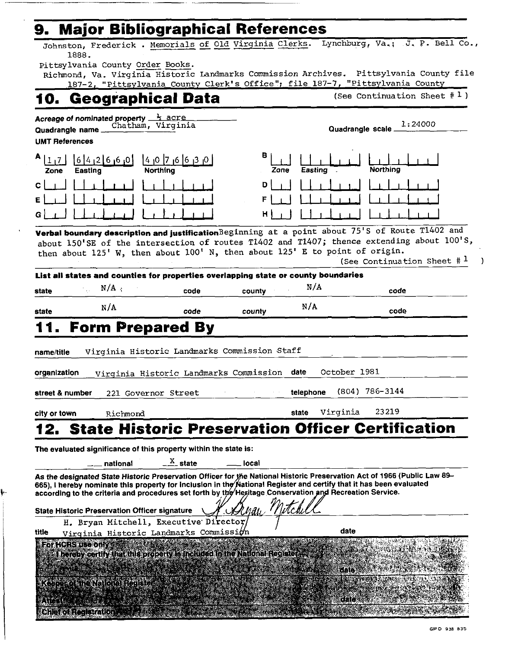# **9. Major Bibliographical References**

Johnston, Frederick . Memorials of Old Virqinia Clerks. Lynchburg, Va,; J. **P.** Bell Co., 1888.

pittsylvania County Order Books.

Richmond, Va. Virginia Historic Landmarks Commission Archives. Pittsylvania County file 187-2, "Pittsylvania County Clerk's Office"; file 187-7, "Pittsylvania County

# **10. Geographical Data** (See Continuation Sheet # 1)

| Quadrangle name            |                                                                                  | Chatham, Virginia                                                                                                                                                                                                                                                                                                         |           | Quadrangle scale_ |                                                                                                                                                                                                                                            |
|----------------------------|----------------------------------------------------------------------------------|---------------------------------------------------------------------------------------------------------------------------------------------------------------------------------------------------------------------------------------------------------------------------------------------------------------------------|-----------|-------------------|--------------------------------------------------------------------------------------------------------------------------------------------------------------------------------------------------------------------------------------------|
| <b>UMT References</b>      |                                                                                  |                                                                                                                                                                                                                                                                                                                           |           |                   |                                                                                                                                                                                                                                            |
| А<br> 1,7 <br>Zone         | [6]4]2[6]0]<br><b>Easting</b>                                                    | 0 <sub> </sub> 3 <sub> </sub> 6  6 <sub> </sub> 7  0 <sub> </sub> 4 <br>Northina                                                                                                                                                                                                                                          | в<br>Zone | Easting           | Northing                                                                                                                                                                                                                                   |
| $\mathbf c$                |                                                                                  |                                                                                                                                                                                                                                                                                                                           | D         |                   |                                                                                                                                                                                                                                            |
| Ε                          |                                                                                  |                                                                                                                                                                                                                                                                                                                           |           |                   |                                                                                                                                                                                                                                            |
| G                          |                                                                                  |                                                                                                                                                                                                                                                                                                                           |           |                   |                                                                                                                                                                                                                                            |
|                            |                                                                                  | then about 125' W, then about 100' N, then about 125' E to point of origin.                                                                                                                                                                                                                                               |           |                   | Verbal boundary description and justification Beginning at a point about 75'S of Route T1402 and<br>about 150'SE of the intersection of routes T1402 and T1407; thence extending about 100'S,<br>(See Continuation Sheet $\#$ <sup>1</sup> |
|                            |                                                                                  | List all states and counties for properties overlapping state or county boundaries                                                                                                                                                                                                                                        |           |                   |                                                                                                                                                                                                                                            |
| state                      | N/A<br>$\sim$ $\pm$                                                              | code                                                                                                                                                                                                                                                                                                                      | county    | N/A               | code                                                                                                                                                                                                                                       |
| state                      | N/A                                                                              | code                                                                                                                                                                                                                                                                                                                      | county    | N/A               | code                                                                                                                                                                                                                                       |
| name/title<br>organization |                                                                                  | Virginia Historic Landmarks Commission Staff<br>Virginia Historic Landmarks Commission date                                                                                                                                                                                                                               |           | October 1981      |                                                                                                                                                                                                                                            |
| street & number            |                                                                                  | 221 Governor Street                                                                                                                                                                                                                                                                                                       |           | telephone         | $(804)$ 786-3144                                                                                                                                                                                                                           |
| city or town               | Richmond                                                                         |                                                                                                                                                                                                                                                                                                                           |           | Virginia<br>state | 23219                                                                                                                                                                                                                                      |
|                            | national                                                                         | The evaluated significance of this property within the state is:<br>$\frac{X}{1}$ state<br>665), I hereby nominate this property for inclusion in the National Register and certify that it has been evaluated<br>according to the criteria and procedures set forth by the Heritage Conservation and Recreation Service. | local     |                   | 2. State Historic Preservation Officer Certification<br>As the designated State Historic Preservation Officer for the National Historic Preservation Act of 1966 (Public Law 89-                                                           |
|                            | <b>State Historic Preservation Officer signature</b>                             |                                                                                                                                                                                                                                                                                                                           |           |                   |                                                                                                                                                                                                                                            |
|                            |                                                                                  | H. Bryan Mitchell, Executive Director/                                                                                                                                                                                                                                                                                    |           |                   |                                                                                                                                                                                                                                            |
| title                      |                                                                                  | Virginia Historic Landmarks Commission                                                                                                                                                                                                                                                                                    |           | date              |                                                                                                                                                                                                                                            |
|                            | For HCRS use only<br>TARA DE LA CARACTERATIVA<br>Keeperco sine National Register | bereby certify that this property is included in the National Register, and                                                                                                                                                                                                                                               |           | 新闻的<br>date       | Park II (Microsoft                                                                                                                                                                                                                         |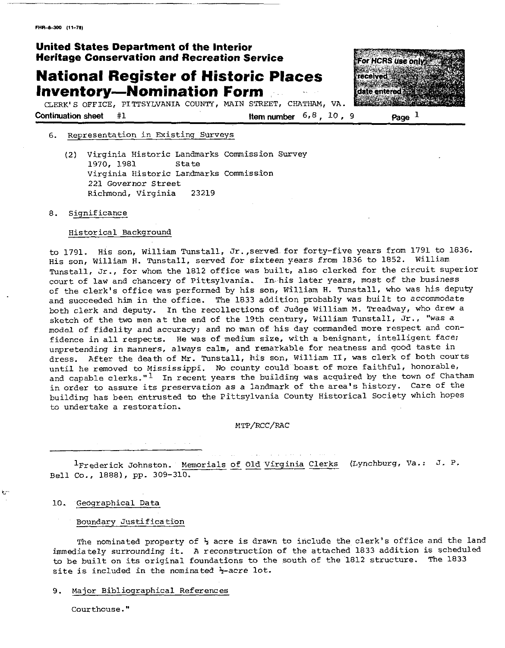### **United States Department of the Interior Heritage Conservation and Recreation Service**

## **National Register of Historic Places Inventory-Nomination Form**

For HCRS use only received date entered **Barbara** 

CLrRK'S OFFICE, PITTSYLVANIA COUNTY, MAIN STREET, CHATHAM, VA. **Continuation sheet** #1 **Item number**  $6, 8, 10, 9$  **Page P** 

### 6. Representation in Existing Surveys

(2) Virginia Historic Landmarks Commission Survey 1970, 1981 Virginia Historic Landmarks Commission 221 Governor Street Richmond, Virginia 23219

### 8. Significance

### Historical Background

to 1791. His son, William Tunstall, Jr.,served for forty-five years from 1791 to 1836. His son, William H. Tunstall. served for sixteen years from 1836 to 1852. William Tunstall, Jr., for whom the 1812 office was built, also clerked for the circuit superior court of law and chancery of Pittsylvania. In his later years, most of the business of the clerk's office was performed by his son, William **H.** Tunstall, who was his deputy and succeeded him in the office. The 1833 addition probably was built to accommodate both clerk and deputy. In the recollections of Judge William M. Treadway, who drew a sketch of the two men at the end of the 19th century, William Tunstall, Jr., "was a model of fidelity and accuracy; and no man of his day commanded more respect and confidence in all respects. He was of medium size, with a benignant, intelligent face; unpretending in manners, always calm, and remarkable for neatness and good taste in dress. After the death of Mr. Tunstall, his son, William 11, was clerk of both courts until he removed to Mississippi. No county could boast of more faithful, honorable, and capable clerks."<sup>1</sup> In recent years the building was acquired by the town of Chatham in order to assure its preservation as a landmark of the area's history. Care of the building has been entrusted to the Pittsylvania County Historical Society which hopes to undertake a restoration.

### MTP/RCC/RAC

 $1_{\text{Frederick}}$  Johnston. Memorials of Old Virginia Clerks (Lynchburg, Va.: J. P. Bell Co., 1888), pp. 309-310.

### 10. Geographical Data-

**t** 

#### Boundary Justification

The nominated property of  $\frac{1}{2}$  acre is drawn to include the clerk's office and the land immediately surrounding it. A reconstruction of the attached 1833 addition is scheduled to be built on its original foundations to the south of the 1812 structure. The 1833 site is included in the nominated  $\frac{1}{2}$ -acre lot.

### 9. Major Bibliographical References

Courthouse."